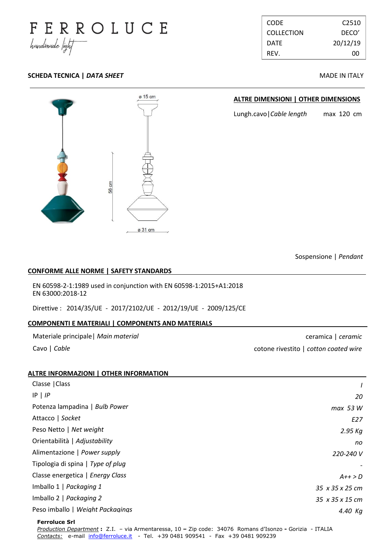

| CODE        | C <sub>2510</sub> |
|-------------|-------------------|
| COLLECTION  | DECO'             |
| <b>DATE</b> | 20/12/19          |
| RFV.        | nn                |

## **SCHEDA TECNICA |** *DATA SHEET* **MADE IN ITALY**



#### **ALTRE DIMENSIONI | OTHER DIMENSIONS**

Lungh.cavo|*Cable length* max 120 cm

Sospensione | *Pendant*

#### **CONFORME ALLE NORME | SAFETY STANDARDS .**

EN 60598-2-1:1989 used in conjunction with EN 60598-1:2015+A1:2018 EN 63000:2018-12

Direttive : 2014/35/UE - 2017/2102/UE - 2012/19/UE - 2009/125/CE

### **COMPONENTI E MATERIALI | COMPONENTS AND MATERIALS .**

Materiale principale| *Main material*

Cavo | *Cable*

ceramica | *ceramic* cotone rivestito | *cotton coated wire*

| <b>ALTRE INFORMAZIONI   OTHER INFORMATION</b> |                             |
|-----------------------------------------------|-----------------------------|
| Classe   Class                                |                             |
| $IP$   $IP$                                   | 20                          |
| Potenza lampadina   Bulb Power                | max 53 W                    |
| Attacco   Socket                              | E27                         |
| Peso Netto   Net weight                       | 2.95 Kg                     |
| Orientabilità   Adjustability                 | no                          |
| Alimentazione   Power supply                  | 220-240 V                   |
| Tipologia di spina   Type of plug             |                             |
| Classe energetica   Energy Class              | $A++>D$                     |
| Imballo 1   Packaging 1                       | $35 \times 35 \times 25$ cm |
| Imballo 2   Packaging 2                       | 35 x 35 x 15 cm             |
| Peso imballo   Weight Packagings              | 4.40 Ka                     |
|                                               |                             |

**Ferroluce Srl** 

*Production Department* **:** Z.I. – via Armentaressa, 10 **–** Zip code:34076 Romans d'Isonzo **-** Gorizia - ITALIA *Contacts:* e-mail [info@ferroluce.it](mailto:info@ferroluce.it) *-* Tel. +39 0481 909541 *-* Fax +39 0481 909239